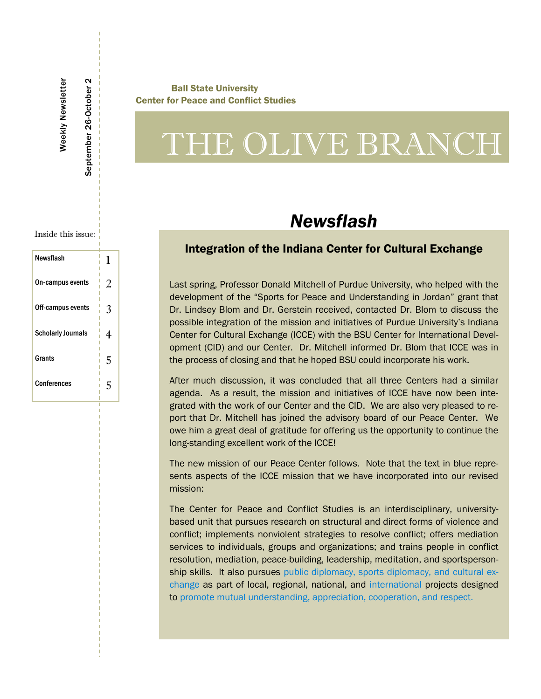#### Ball State University Center for Peace and Conflict Studies

# THE OLIVE BRANCH

## *Newsflash*

### Integration of the Indiana Center for Cultural Exchange

Last spring, Professor Donald Mitchell of Purdue University, who helped with the development of the "Sports for Peace and Understanding in Jordan" grant that Dr. Lindsey Blom and Dr. Gerstein received, contacted Dr. Blom to discuss the possible integration of the mission and initiatives of Purdue University's Indiana Center for Cultural Exchange (ICCE) with the BSU Center for International Development (CID) and our Center. Dr. Mitchell informed Dr. Blom that ICCE was in the process of closing and that he hoped BSU could incorporate his work.

After much discussion, it was concluded that all three Centers had a similar agenda. As a result, the mission and initiatives of ICCE have now been integrated with the work of our Center and the CID. We are also very pleased to report that Dr. Mitchell has joined the advisory board of our Peace Center. We owe him a great deal of gratitude for offering us the opportunity to continue the long-standing excellent work of the ICCE!

The new mission of our Peace Center follows. Note that the text in blue represents aspects of the ICCE mission that we have incorporated into our revised mission:

The Center for Peace and Conflict Studies is an interdisciplinary, universitybased unit that pursues research on structural and direct forms of violence and conflict; implements nonviolent strategies to resolve conflict; offers mediation services to individuals, groups and organizations; and trains people in conflict resolution, mediation, peace-building, leadership, meditation, and sportspersonship skills. It also pursues public diplomacy, sports diplomacy, and cultural exchange as part of local, regional, national, and international projects designed to promote mutual understanding, appreciation, cooperation, and respect.

Inside this issue:

Weekly Newsletter

Weekly Newsletter

September 26-October 2

September 26-October

 $\boldsymbol{\sim}$ 

| Newsflash                 | 1 |
|---------------------------|---|
| On-campus events          | 2 |
| Off-campus events         | 3 |
| <b>Scholarly Journals</b> | 4 |
| Grants                    | 5 |
| Conferences               | 5 |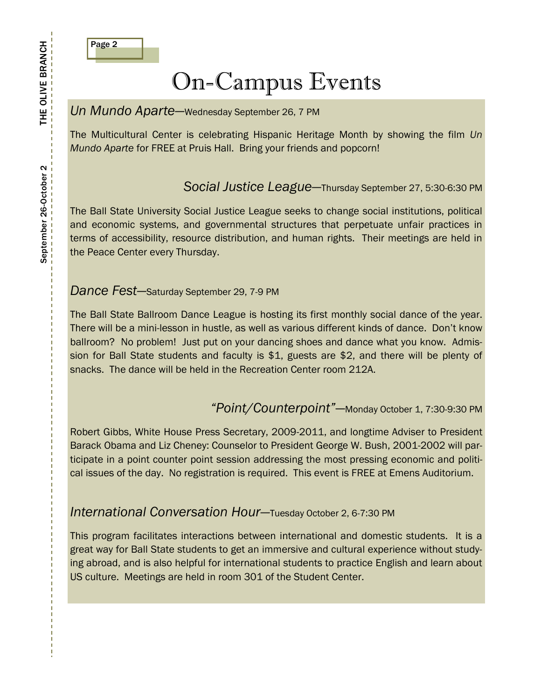

## On-Campus Events

### *Un Mundo Aparte*—Wednesday September 26, 7 PM

The Multicultural Center is celebrating Hispanic Heritage Month by showing the film *Un Mundo Aparte* for FREE at Pruis Hall. Bring your friends and popcorn!

## *Social Justice League—*Thursday September 27, 5:30-6:30 PM

The Ball State University Social Justice League seeks to change social institutions, political and economic systems, and governmental structures that perpetuate unfair practices in terms of accessibility, resource distribution, and human rights. Their meetings are held in the Peace Center every Thursday.

### *Dance Fest*—Saturday September 29, 7-9 PM

The Ball State Ballroom Dance League is hosting its first monthly social dance of the year. There will be a mini-lesson in hustle, as well as various different kinds of dance. Don't know ballroom? No problem! Just put on your dancing shoes and dance what you know. Admission for Ball State students and faculty is \$1, guests are \$2, and there will be plenty of snacks. The dance will be held in the Recreation Center room 212A.

### *"Point/Counterpoint"*—Monday October 1, 7:30-9:30 PM

Robert Gibbs, White House Press Secretary, 2009-2011, and longtime Adviser to President Barack Obama and Liz Cheney: Counselor to President George W. Bush, 2001-2002 will participate in a point counter point session addressing the most pressing economic and political issues of the day. No registration is required. This event is FREE at Emens Auditorium.

### *International Conversation Hour—*Tuesday October 2, 6-7:30 PM

This program facilitates interactions between international and domestic students. It is a great way for Ball State students to get an immersive and cultural experience without studying abroad, and is also helpful for international students to practice English and learn about US culture. Meetings are held in room 301 of the Student Center.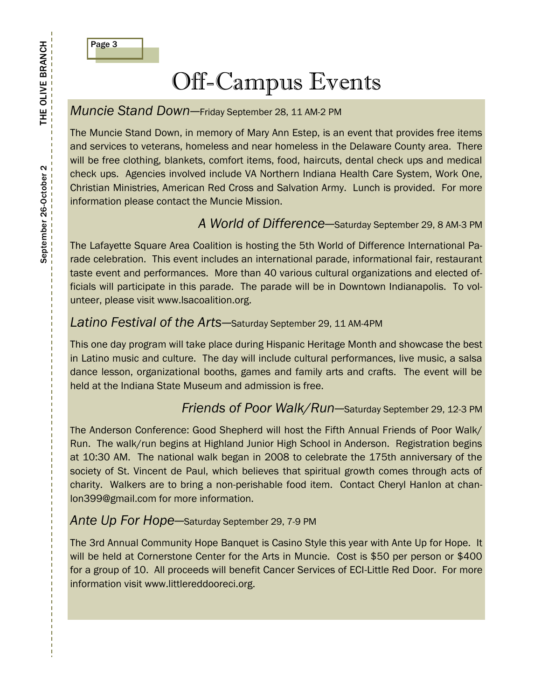

## Off-Campus Events

## *Muncie Stand Down—*Friday September 28, 11 AM-2 PM

The Muncie Stand Down, in memory of Mary Ann Estep, is an event that provides free items and services to veterans, homeless and near homeless in the Delaware County area. There will be free clothing, blankets, comfort items, food, haircuts, dental check ups and medical check ups. Agencies involved include VA Northern Indiana Health Care System, Work One, Christian Ministries, American Red Cross and Salvation Army. Lunch is provided. For more information please contact the Muncie Mission.

## *A World of Difference—*Saturday September 29, 8 AM-3 PM

The Lafayette Square Area Coalition is hosting the 5th World of Difference International Parade celebration. This event includes an international parade, informational fair, restaurant taste event and performances. More than 40 various cultural organizations and elected officials will participate in this parade. The parade will be in Downtown Indianapolis. To volunteer, please visit www.lsacoalition.org.

### *Latino Festival of the Arts*—Saturday September 29, 11 AM-4PM

This one day program will take place during Hispanic Heritage Month and showcase the best in Latino music and culture. The day will include cultural performances, live music, a salsa dance lesson, organizational booths, games and family arts and crafts. The event will be held at the Indiana State Museum and admission is free.

### *Friends of Poor Walk/Run—*Saturday September 29, 12-3 PM

The Anderson Conference: Good Shepherd will host the Fifth Annual Friends of Poor Walk/ Run. The walk/run begins at Highland Junior High School in Anderson. Registration begins at 10:30 AM. The national walk began in 2008 to celebrate the 175th anniversary of the society of St. Vincent de Paul, which believes that spiritual growth comes through acts of charity. Walkers are to bring a non-perishable food item. Contact Cheryl Hanlon at chanlon399@gmail.com for more information.

### *Ante Up For Hope*—Saturday September 29, 7-9 PM

The 3rd Annual Community Hope Banquet is Casino Style this year with Ante Up for Hope. It will be held at Cornerstone Center for the Arts in Muncie. Cost is \$50 per person or \$400 for a group of 10. All proceeds will benefit Cancer Services of ECI-Little Red Door. For more information visit www.littlereddooreci.org.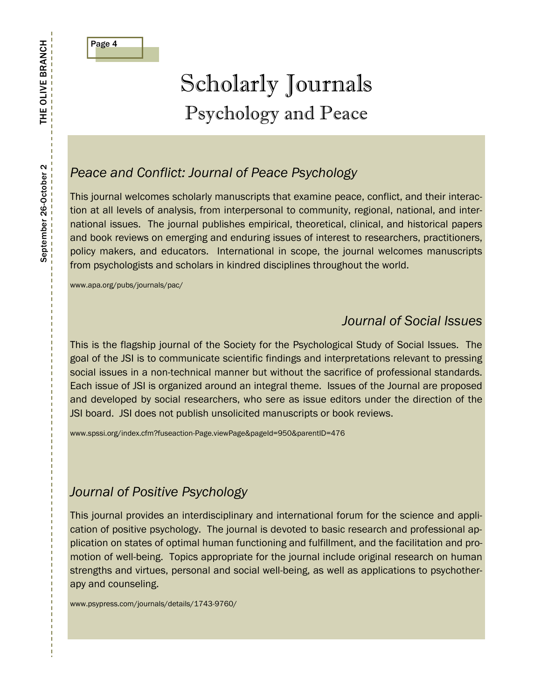

## Scholarly Journals Psychology and Peace

## *Peace and Conflict: Journal of Peace Psychology*

This journal welcomes scholarly manuscripts that examine peace, conflict, and their interaction at all levels of analysis, from interpersonal to community, regional, national, and international issues. The journal publishes empirical, theoretical, clinical, and historical papers and book reviews on emerging and enduring issues of interest to researchers, practitioners, policy makers, and educators. International in scope, the journal welcomes manuscripts from psychologists and scholars in kindred disciplines throughout the world.

www.apa.org/pubs/journals/pac/

## *Journal of Social Issues*

This is the flagship journal of the Society for the Psychological Study of Social Issues. The goal of the JSI is to communicate scientific findings and interpretations relevant to pressing social issues in a non-technical manner but without the sacrifice of professional standards. Each issue of JSI is organized around an integral theme. Issues of the Journal are proposed and developed by social researchers, who sere as issue editors under the direction of the JSI board. JSI does not publish unsolicited manuscripts or book reviews.

www.spssi.org/index.cfm?fuseaction-Page.viewPage&pageId=950&parentID=476

## *Journal of Positive Psychology*

This journal provides an interdisciplinary and international forum for the science and application of positive psychology. The journal is devoted to basic research and professional application on states of optimal human functioning and fulfillment, and the facilitation and promotion of well-being. Topics appropriate for the journal include original research on human strengths and virtues, personal and social well-being, as well as applications to psychotherapy and counseling.

www.psypress.com/journals/details/1743-9760/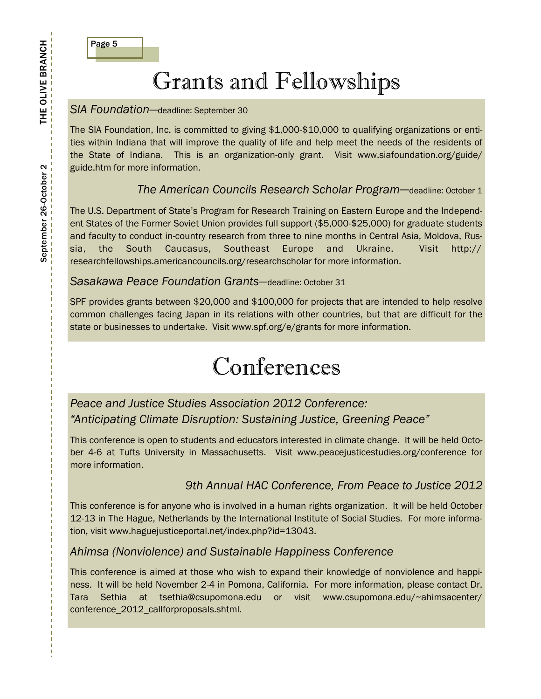

## Grants and Fellowships

#### *SIA Foundation—*deadline: September 30

The SIA Foundation, Inc. is committed to giving \$1,000-\$10,000 to qualifying organizations or entities within Indiana that will improve the quality of life and help meet the needs of the residents of the State of Indiana. This is an organization-only grant. Visit www.siafoundation.org/guide/ guide.htm for more information.

### *The American Councils Research Scholar Program*—deadline: October 1

The U.S. Department of State's Program for Research Training on Eastern Europe and the Independent States of the Former Soviet Union provides full support (\$5,000-\$25,000) for graduate students and faculty to conduct in-country research from three to nine months in Central Asia, Moldova, Russia, the South Caucasus, Southeast Europe and Ukraine. Visit http:// researchfellowships.americancouncils.org/researchscholar for more information.

#### *Sasakawa Peace Foundation Grants—*deadline: October 31

SPF provides grants between \$20,000 and \$100,000 for projects that are intended to help resolve common challenges facing Japan in its relations with other countries, but that are difficult for the state or businesses to undertake. Visit www.spf.org/e/grants for more information.

## Conferences

## *Peace and Justice Studies Association 2012 Conference: "Anticipating Climate Disruption: Sustaining Justice, Greening Peace"*

This conference is open to students and educators interested in climate change. It will be held October 4-6 at Tufts University in Massachusetts. Visit www.peacejusticestudies.org/conference for more information.

### *9th Annual HAC Conference, From Peace to Justice 2012*

This conference is for anyone who is involved in a human rights organization. It will be held October 12-13 in The Hague, Netherlands by the International Institute of Social Studies. For more information, visit www.haguejusticeportal.net/index.php?id=13043.

#### *Ahimsa (Nonviolence) and Sustainable Happiness Conference*

This conference is aimed at those who wish to expand their knowledge of nonviolence and happiness. It will be held November 2-4 in Pomona, California. For more information, please contact Dr. Tara Sethia at tsethia@csupomona.edu or visit www.csupomona.edu/~ahimsacenter/ conference\_2012\_callforproposals.shtml.